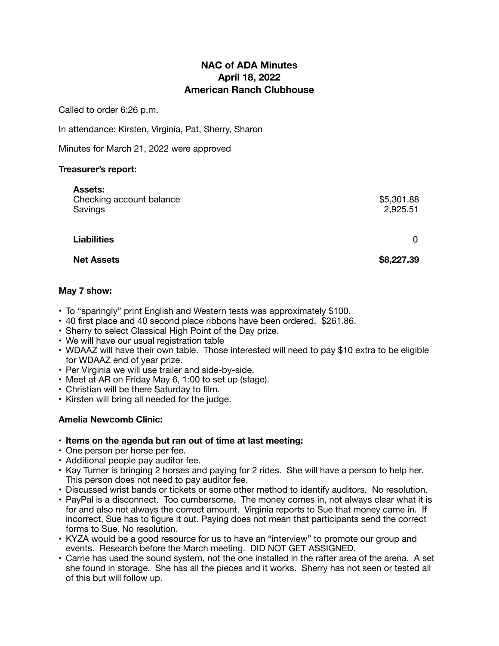# **NAC of ADA Minutes April 18, 2022 American Ranch Clubhouse**

Called to order 6:26 p.m.

In attendance: Kirsten, Virginia, Pat, Sherry, Sharon

Minutes for March 21, 2022 were approved

### **Treasurer's report:**

| <b>Assets:</b><br>Checking account balance<br>Savings | \$5,301.88<br>2,925.51 |
|-------------------------------------------------------|------------------------|
| <b>Liabilities</b>                                    | 0                      |
| <b>Net Assets</b>                                     | \$8,227.39             |
|                                                       |                        |

### **May 7 show:**

- To "sparingly" print English and Western tests was approximately \$100.
- 40 first place and 40 second place ribbons have been ordered. \$261.86.
- Sherry to select Classical High Point of the Day prize.
- We will have our usual registration table
- WDAAZ will have their own table. Those interested will need to pay \$10 extra to be eligible for WDAAZ end of year prize.
- Per Virginia we will use trailer and side-by-side.
- Meet at AR on Friday May 6, 1:00 to set up (stage).
- Christian will be there Saturday to film.
- Kirsten will bring all needed for the judge.

## **Amelia Newcomb Clinic:**

- **Items on the agenda but ran out of time at last meeting:**
- One person per horse per fee.
- Additional people pay auditor fee.
- Kay Turner is bringing 2 horses and paying for 2 rides. She will have a person to help her. This person does not need to pay auditor fee.
- Discussed wrist bands or tickets or some other method to identify auditors. No resolution.
- PayPal is a disconnect. Too cumbersome. The money comes in, not always clear what it is for and also not always the correct amount. Virginia reports to Sue that money came in. If incorrect, Sue has to figure it out. Paying does not mean that participants send the correct forms to Sue. No resolution.
- KYZA would be a good resource for us to have an "interview" to promote our group and events. Research before the March meeting. DID NOT GET ASSIGNED.
- Carrie has used the sound system, not the one installed in the rafter area of the arena. A set she found in storage. She has all the pieces and it works. Sherry has not seen or tested all of this but will follow up.